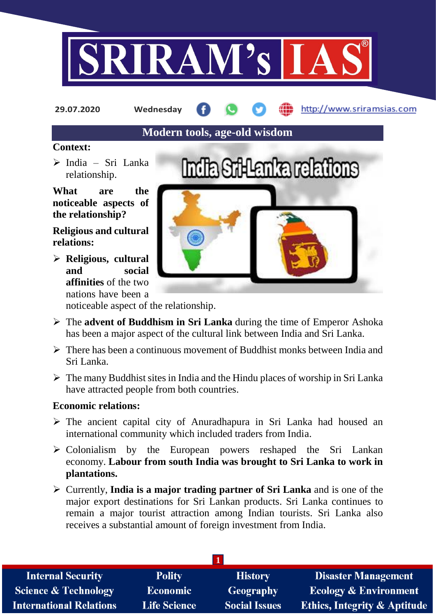

**29.07.2020 Wednesday**

http://www.sriramsias.com

# **Modern tools, age-old wisdom**

#### **Context:**

 $\triangleright$  India – Sri Lanka relationship.

**What are the noticeable aspects of the relationship?**

**Religious and cultural relations:**

 **Religious, cultural and social affinities** of the two nations have been a



noticeable aspect of the relationship.

- The **advent of Buddhism in Sri Lanka** during the time of Emperor Ashoka has been a major aspect of the cultural link between India and Sri Lanka.
- $\triangleright$  There has been a continuous movement of Buddhist monks between India and Sri Lanka.
- $\triangleright$  The many Buddhist sites in India and the Hindu places of worship in Sri Lanka have attracted people from both countries.

## **Economic relations:**

- $\triangleright$  The ancient capital city of Anuradhapura in Sri Lanka had housed an international community which included traders from India.
- $\triangleright$  Colonialism by the European powers reshaped the Sri Lankan economy. **Labour from south India was brought to Sri Lanka to work in plantations.**
- Currently, **India is a major trading partner of Sri Lanka** and is one of the major export destinations for Sri Lankan products. Sri Lanka continues to remain a major tourist attraction among Indian tourists. Sri Lanka also receives a substantial amount of foreign investment from India.

| <b>Internal Security</b>        | <b>Polity</b>       | <b>History</b>       | <b>Disaster Management</b>              |
|---------------------------------|---------------------|----------------------|-----------------------------------------|
| <b>Science &amp; Technology</b> | <b>Economic</b>     | Geography            | <b>Ecology &amp; Environment</b>        |
| <b>International Relations</b>  | <b>Life Science</b> | <b>Social Issues</b> | <b>Ethics, Integrity &amp; Aptitude</b> |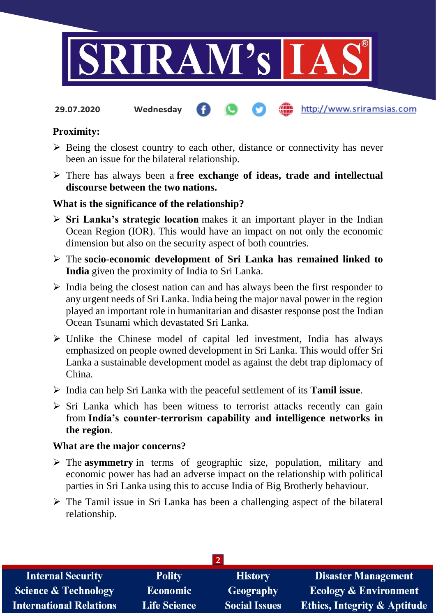

http://www.sriramsias.com

**29.07.2020 Wednesday**

## **Proximity:**

- $\triangleright$  Being the closest country to each other, distance or connectivity has never been an issue for the bilateral relationship.
- There has always been a **free exchange of ideas, trade and intellectual discourse between the two nations.**

## **What is the significance of the relationship?**

- **Sri Lanka's strategic location** makes it an important player in the Indian Ocean Region (IOR). This would have an impact on not only the economic dimension but also on the security aspect of both countries.
- The **socio-economic development of Sri Lanka has remained linked to India** given the proximity of India to Sri Lanka.
- $\triangleright$  India being the closest nation can and has always been the first responder to any urgent needs of Sri Lanka. India being the major naval power in the region played an important role in humanitarian and disaster response post the Indian Ocean Tsunami which devastated Sri Lanka.
- $\triangleright$  Unlike the Chinese model of capital led investment, India has always emphasized on people owned development in Sri Lanka. This would offer Sri Lanka a sustainable development model as against the debt trap diplomacy of China.
- India can help Sri Lanka with the peaceful settlement of its **Tamil issue**.
- $\triangleright$  Sri Lanka which has been witness to terrorist attacks recently can gain from **India's counter-terrorism capability and intelligence networks in the region**.

#### **What are the major concerns?**

- The **asymmetry** in terms of geographic size, population, military and economic power has had an adverse impact on the relationship with political parties in Sri Lanka using this to accuse India of Big Brotherly behaviour.
- $\triangleright$  The Tamil issue in Sri Lanka has been a challenging aspect of the bilateral relationship.

| <b>Internal Security</b>        | <b>Polity</b>       | <b>History</b>       | <b>Disaster Management</b>              |  |  |  |
|---------------------------------|---------------------|----------------------|-----------------------------------------|--|--|--|
| <b>Science &amp; Technology</b> | <b>Economic</b>     | <b>Geography</b>     | <b>Ecology &amp; Environment</b>        |  |  |  |
| <b>International Relations</b>  | <b>Life Science</b> | <b>Social Issues</b> | <b>Ethics, Integrity &amp; Aptitude</b> |  |  |  |